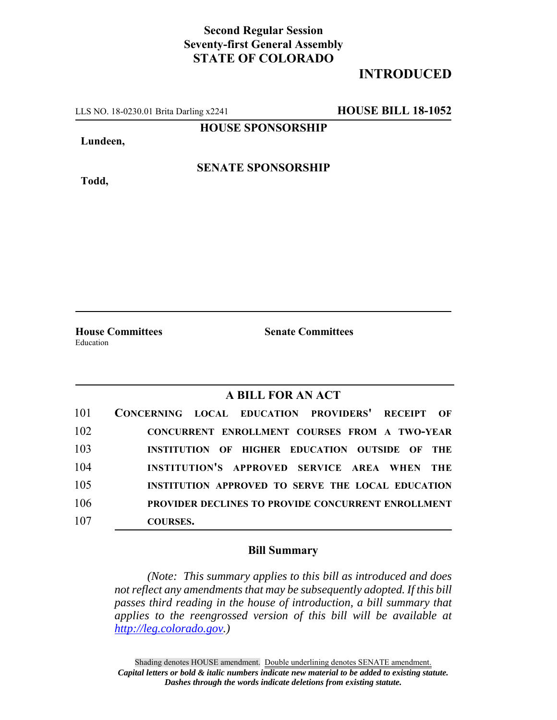## **Second Regular Session Seventy-first General Assembly STATE OF COLORADO**

## **INTRODUCED**

LLS NO. 18-0230.01 Brita Darling x2241 **HOUSE BILL 18-1052**

**HOUSE SPONSORSHIP**

**Lundeen,**

**Todd,**

**SENATE SPONSORSHIP**

Education

**House Committees Senate Committees**

## **A BILL FOR AN ACT**

| 101 | CONCERNING LOCAL EDUCATION PROVIDERS' RECEIPT OF          |
|-----|-----------------------------------------------------------|
| 102 | CONCURRENT ENROLLMENT COURSES FROM A TWO-YEAR             |
| 103 | INSTITUTION OF HIGHER EDUCATION OUTSIDE OF THE            |
| 104 | INSTITUTION'S APPROVED SERVICE AREA WHEN THE              |
| 105 | INSTITUTION APPROVED TO SERVE THE LOCAL EDUCATION         |
| 106 | <b>PROVIDER DECLINES TO PROVIDE CONCURRENT ENROLLMENT</b> |
| 107 | <b>COURSES.</b>                                           |

## **Bill Summary**

*(Note: This summary applies to this bill as introduced and does not reflect any amendments that may be subsequently adopted. If this bill passes third reading in the house of introduction, a bill summary that applies to the reengrossed version of this bill will be available at http://leg.colorado.gov.)*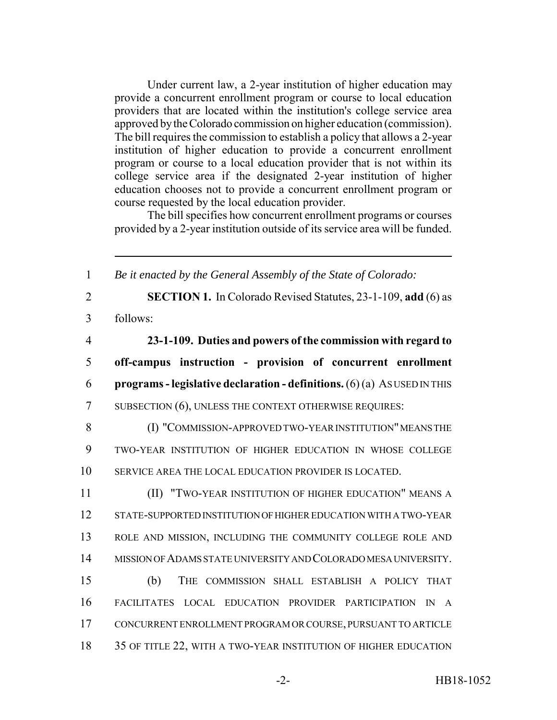Under current law, a 2-year institution of higher education may provide a concurrent enrollment program or course to local education providers that are located within the institution's college service area approved by the Colorado commission on higher education (commission). The bill requires the commission to establish a policy that allows a 2-year institution of higher education to provide a concurrent enrollment program or course to a local education provider that is not within its college service area if the designated 2-year institution of higher education chooses not to provide a concurrent enrollment program or course requested by the local education provider.

The bill specifies how concurrent enrollment programs or courses provided by a 2-year institution outside of its service area will be funded.

| $\mathbf{1}$   | Be it enacted by the General Assembly of the State of Colorado:                              |
|----------------|----------------------------------------------------------------------------------------------|
| $\overline{2}$ | <b>SECTION 1.</b> In Colorado Revised Statutes, 23-1-109, add (6) as                         |
| 3              | follows:                                                                                     |
| $\overline{4}$ | 23-1-109. Duties and powers of the commission with regard to                                 |
| 5              | off-campus instruction - provision of concurrent enrollment                                  |
| 6              | programs - legislative declaration - definitions. $(6)(a)$ AS USED IN THIS                   |
| $\overline{7}$ | SUBSECTION (6), UNLESS THE CONTEXT OTHERWISE REQUIRES:                                       |
| 8              | (I) "COMMISSION-APPROVED TWO-YEAR INSTITUTION" MEANS THE                                     |
| 9              | TWO-YEAR INSTITUTION OF HIGHER EDUCATION IN WHOSE COLLEGE                                    |
| 10             | SERVICE AREA THE LOCAL EDUCATION PROVIDER IS LOCATED.                                        |
| 11             | (II) "TWO-YEAR INSTITUTION OF HIGHER EDUCATION" MEANS A                                      |
| 12             | STATE-SUPPORTED INSTITUTION OF HIGHER EDUCATION WITH A TWO-YEAR                              |
| 13             | ROLE AND MISSION, INCLUDING THE COMMUNITY COLLEGE ROLE AND                                   |
| 14             | MISSION OF ADAMS STATE UNIVERSITY AND COLORADO MESA UNIVERSITY.                              |
| 15             | (b)<br>THE COMMISSION SHALL ESTABLISH A POLICY THAT                                          |
| 16             | LOCAL EDUCATION PROVIDER PARTICIPATION<br><b>FACILITATES</b><br>$\mathbb{N}$<br>$\mathsf{A}$ |
| 17             | CONCURRENT ENROLLMENT PROGRAM OR COURSE, PURSUANT TO ARTICLE                                 |
| 18             | 35 OF TITLE 22, WITH A TWO-YEAR INSTITUTION OF HIGHER EDUCATION                              |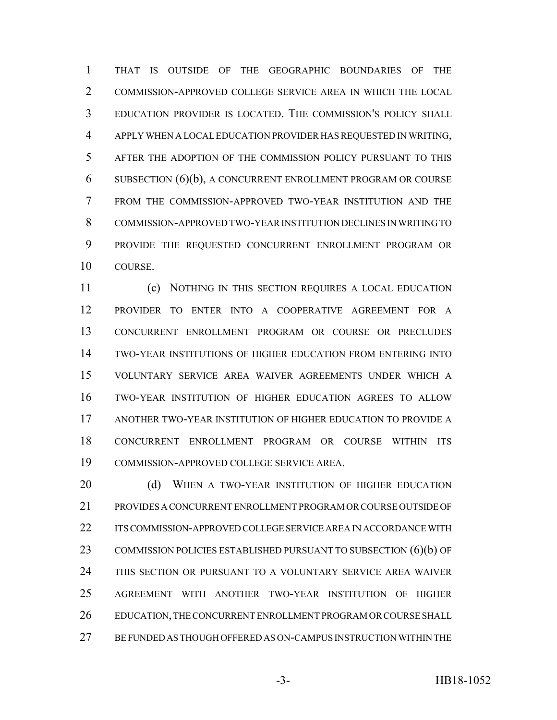THAT IS OUTSIDE OF THE GEOGRAPHIC BOUNDARIES OF THE COMMISSION-APPROVED COLLEGE SERVICE AREA IN WHICH THE LOCAL EDUCATION PROVIDER IS LOCATED. THE COMMISSION'S POLICY SHALL APPLY WHEN A LOCAL EDUCATION PROVIDER HAS REQUESTED IN WRITING, AFTER THE ADOPTION OF THE COMMISSION POLICY PURSUANT TO THIS SUBSECTION (6)(b), A CONCURRENT ENROLLMENT PROGRAM OR COURSE FROM THE COMMISSION-APPROVED TWO-YEAR INSTITUTION AND THE COMMISSION-APPROVED TWO-YEAR INSTITUTION DECLINES IN WRITING TO PROVIDE THE REQUESTED CONCURRENT ENROLLMENT PROGRAM OR COURSE.

 (c) NOTHING IN THIS SECTION REQUIRES A LOCAL EDUCATION PROVIDER TO ENTER INTO A COOPERATIVE AGREEMENT FOR A CONCURRENT ENROLLMENT PROGRAM OR COURSE OR PRECLUDES TWO-YEAR INSTITUTIONS OF HIGHER EDUCATION FROM ENTERING INTO VOLUNTARY SERVICE AREA WAIVER AGREEMENTS UNDER WHICH A TWO-YEAR INSTITUTION OF HIGHER EDUCATION AGREES TO ALLOW ANOTHER TWO-YEAR INSTITUTION OF HIGHER EDUCATION TO PROVIDE A CONCURRENT ENROLLMENT PROGRAM OR COURSE WITHIN ITS COMMISSION-APPROVED COLLEGE SERVICE AREA.

20 (d) WHEN A TWO-YEAR INSTITUTION OF HIGHER EDUCATION PROVIDES A CONCURRENT ENROLLMENT PROGRAM OR COURSE OUTSIDE OF ITS COMMISSION-APPROVED COLLEGE SERVICE AREA IN ACCORDANCE WITH 23 COMMISSION POLICIES ESTABLISHED PURSUANT TO SUBSECTION (6)(b) OF THIS SECTION OR PURSUANT TO A VOLUNTARY SERVICE AREA WAIVER AGREEMENT WITH ANOTHER TWO-YEAR INSTITUTION OF HIGHER 26 EDUCATION, THE CONCURRENT ENROLLMENT PROGRAM OR COURSE SHALL BE FUNDED AS THOUGH OFFERED AS ON-CAMPUS INSTRUCTION WITHIN THE